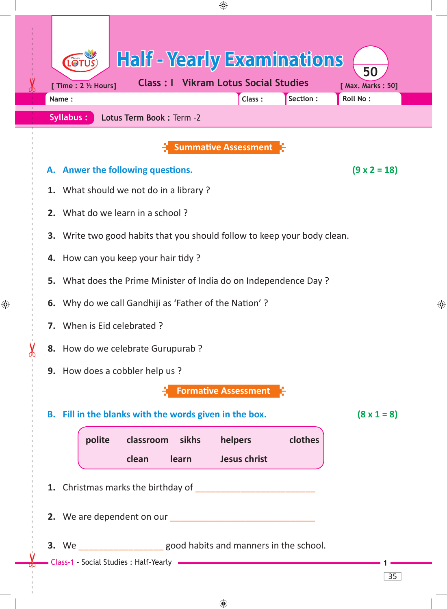| <b>Syllabus:</b>                                                            | Lotus Term Book : Term -2                              | Class:                      | Section: | Roll No:            |
|-----------------------------------------------------------------------------|--------------------------------------------------------|-----------------------------|----------|---------------------|
|                                                                             |                                                        | <b>Summative Assessment</b> |          |                     |
|                                                                             | A. Anwer the following questions.                      |                             |          | $(9 \times 2 = 18)$ |
| 1. What should we not do in a library?                                      |                                                        |                             |          |                     |
| 2. What do we learn in a school?                                            |                                                        |                             |          |                     |
| Write two good habits that you should follow to keep your body clean.<br>3. |                                                        |                             |          |                     |
| 4. How can you keep your hair tidy?                                         |                                                        |                             |          |                     |
| 5. What does the Prime Minister of India do on Independence Day?            |                                                        |                             |          |                     |
| 6. Why do we call Gandhiji as 'Father of the Nation'?                       |                                                        |                             |          |                     |
| 7. When is Eid celebrated ?                                                 |                                                        |                             |          |                     |
| 8. How do we celebrate Gurupurab ?                                          |                                                        |                             |          |                     |
|                                                                             | 9. How does a cobbler help us?                         |                             |          |                     |
|                                                                             |                                                        | <b>Formative Assessment</b> |          |                     |
|                                                                             | B. Fill in the blanks with the words given in the box. |                             |          | $(8 \times 1 = 8)$  |
| polite                                                                      | classroom sikhs                                        | helpers                     | clothes  |                     |
|                                                                             | <b>learn</b><br>clean                                  | <b>Jesus christ</b>         |          |                     |
|                                                                             |                                                        |                             |          |                     |
|                                                                             |                                                        |                             |          |                     |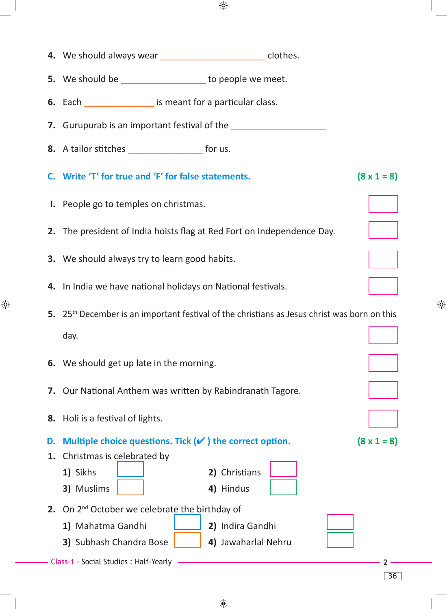|    | 4. We should always wear _______________________ clothes.              |                                                                                                          |                    |
|----|------------------------------------------------------------------------|----------------------------------------------------------------------------------------------------------|--------------------|
|    | 5. We should be _______________ to people we meet.                     |                                                                                                          |                    |
|    | <b>6.</b> Each <u>Consequence</u> Equipment for a particular class.    |                                                                                                          |                    |
|    |                                                                        |                                                                                                          |                    |
|    | 8. A tailor stitches _______________________ for us.                   |                                                                                                          |                    |
|    | C. Write 'T' for true and 'F' for false statements.                    |                                                                                                          | $(8 \times 1 = 8)$ |
|    | I. People go to temples on christmas.                                  |                                                                                                          |                    |
|    | 2. The president of India hoists flag at Red Fort on Independence Day. |                                                                                                          |                    |
|    | <b>3.</b> We should always try to learn good habits.                   |                                                                                                          |                    |
|    | 4. In India we have national holidays on National festivals.           |                                                                                                          |                    |
|    |                                                                        | 5. 25 <sup>th</sup> December is an important festival of the christians as Jesus christ was born on this |                    |
|    | day.                                                                   |                                                                                                          |                    |
|    | 6. We should get up late in the morning.                               |                                                                                                          |                    |
|    |                                                                        |                                                                                                          |                    |
|    | 7. Our National Anthem was written by Rabindranath Tagore.             |                                                                                                          |                    |
|    | 8. Holi is a festival of lights.                                       |                                                                                                          |                    |
| D. | Multiple choice questions. Tick $(v')$ the correct option.             |                                                                                                          |                    |
| 1. | Christmas is celebrated by                                             |                                                                                                          |                    |
|    | 1) Sikhs                                                               | 2) Christians                                                                                            |                    |
|    | 3) Muslims                                                             | 4) Hindus                                                                                                | $(8 \times 1 = 8)$ |
|    | 2. On $2^{nd}$ October we celebrate the birthday of                    |                                                                                                          |                    |
|    | 1) Mahatma Gandhi                                                      | 2) Indira Gandhi                                                                                         |                    |

 $\bigoplus$ 

 $\bigoplus$ 

♦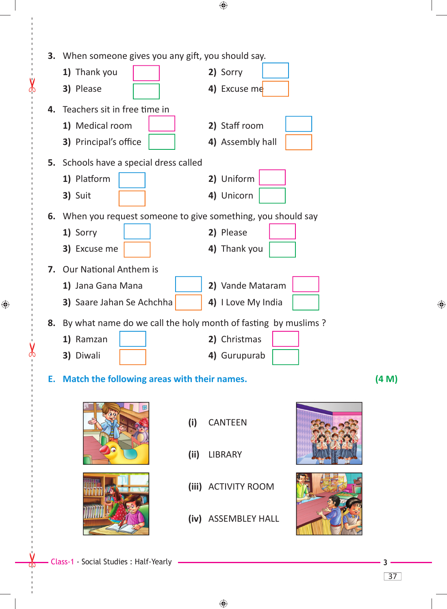|    | 3. When someone gives you any gift, you should say.           |      |                     |       |
|----|---------------------------------------------------------------|------|---------------------|-------|
|    | 1) Thank you                                                  |      | 2) Sorry            |       |
|    | 3) Please                                                     |      | 4) Excuse me        |       |
|    | 4. Teachers sit in free time in                               |      |                     |       |
|    | 1) Medical room                                               |      | 2) Staff room       |       |
|    | 3) Principal's office                                         |      | 4) Assembly hall    |       |
|    | 5. Schools have a special dress called                        |      |                     |       |
|    | 1) Platform                                                   |      | 2) Uniform          |       |
|    | 3) Suit                                                       |      | 4) Unicorn          |       |
|    |                                                               |      |                     |       |
|    | 6. When you request someone to give something, you should say |      |                     |       |
|    | 1) Sorry                                                      |      | 2) Please           |       |
|    | 3) Excuse me                                                  |      | 4) Thank you        |       |
|    | 7. Our National Anthem is                                     |      |                     |       |
|    | 1) Jana Gana Mana                                             |      | 2) Vande Mataram    |       |
|    | 3) Saare Jahan Se Achchha                                     |      | 4) I Love My India  |       |
| 8. | By what name do we call the holy month of fasting by muslims? |      |                     |       |
|    | 1) Ramzan                                                     |      | 2) Christmas        |       |
|    | 3) Diwali                                                     |      | 4) Gurupurab        |       |
|    | E. Match the following areas with their names.                |      |                     | (4 M) |
|    |                                                               | (i)  | <b>CANTEEN</b>      |       |
|    |                                                               | (ii) | <b>LIBRARY</b>      |       |
|    |                                                               |      | (iii) ACTIVITY ROOM |       |
|    |                                                               |      | (iv) ASSEMBLEY HALL |       |
|    | Class-1 - Social Studies : Half-Yearly                        |      |                     |       |
|    |                                                               |      |                     | 37    |
|    |                                                               |      |                     |       |

♦

 $\lambda$ 

 $\bigoplus$ 

 $\partial$ 

 $\bigoplus$